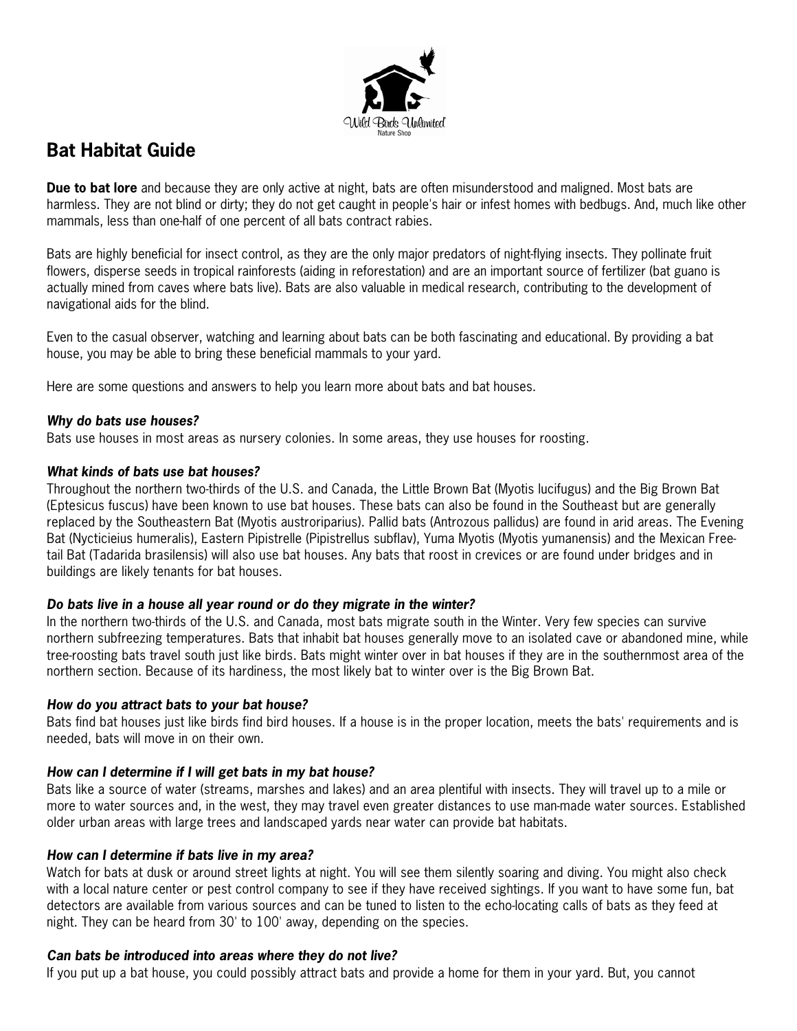

# **Bat Habitat Guide**

**Due to bat lore** and because they are only active at night, bats are often misunderstood and maligned. Most bats are harmless. They are not blind or dirty; they do not get caught in people's hair or infest homes with bedbugs. And, much like other mammals, less than one-half of one percent of all bats contract rabies.

Bats are highly beneficial for insect control, as they are the only major predators of night-flying insects. They pollinate fruit flowers, disperse seeds in tropical rainforests (aiding in reforestation) and are an important source of fertilizer (bat guano is actually mined from caves where bats live). Bats are also valuable in medical research, contributing to the development of navigational aids for the blind.

Even to the casual observer, watching and learning about bats can be both fascinating and educational. By providing a bat house, you may be able to bring these beneficial mammals to your yard.

Here are some questions and answers to help you learn more about bats and bat houses.

#### **Why do bats use houses?**

Bats use houses in most areas as nursery colonies. In some areas, they use houses for roosting.

# **What kinds of bats use bat houses?**

Throughout the northern two-thirds of the U.S. and Canada, the Little Brown Bat (Myotis lucifugus) and the Big Brown Bat (Eptesicus fuscus) have been known to use bat houses. These bats can also be found in the Southeast but are generally replaced by the Southeastern Bat (Myotis austroriparius). Pallid bats (Antrozous pallidus) are found in arid areas. The Evening Bat (Nycticieius humeralis), Eastern Pipistrelle (Pipistrellus subflav), Yuma Myotis (Myotis yumanensis) and the Mexican Freetail Bat (Tadarida brasilensis) will also use bat houses. Any bats that roost in crevices or are found under bridges and in buildings are likely tenants for bat houses.

# **Do bats live in a house all year round or do they migrate in the winter?**

In the northern two-thirds of the U.S. and Canada, most bats migrate south in the Winter. Very few species can survive northern subfreezing temperatures. Bats that inhabit bat houses generally move to an isolated cave or abandoned mine, while tree-roosting bats travel south just like birds. Bats might winter over in bat houses if they are in the southernmost area of the northern section. Because of its hardiness, the most likely bat to winter over is the Big Brown Bat.

#### **How do you attract bats to your bat house?**

Bats find bat houses just like birds find bird houses. If a house is in the proper location, meets the bats' requirements and is needed, bats will move in on their own.

#### **How can I determine if I will get bats in my bat house?**

Bats like a source of water (streams, marshes and lakes) and an area plentiful with insects. They will travel up to a mile or more to water sources and, in the west, they may travel even greater distances to use man-made water sources. Established older urban areas with large trees and landscaped yards near water can provide bat habitats.

#### **How can I determine if bats live in my area?**

Watch for bats at dusk or around street lights at night. You will see them silently soaring and diving. You might also check with a local nature center or pest control company to see if they have received sightings. If you want to have some fun, bat detectors are available from various sources and can be tuned to listen to the echo-locating calls of bats as they feed at night. They can be heard from 30' to 100' away, depending on the species.

#### **Can bats be introduced into areas where they do not live?**

If you put up a bat house, you could possibly attract bats and provide a home for them in your yard. But, you cannot